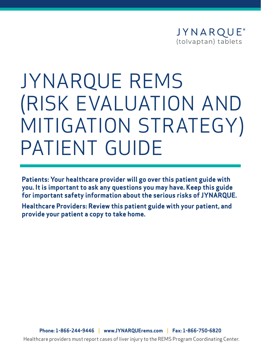

# JYNARQUE REMS (RISK EVALUATION AND MITIGATION STRATEGY) PATIENT GUIDE

**Patients: Your healthcare provider will go over this patient guide with you. It is important to ask any questions you may have. Keep this guide for important safety information about the serious risks of JYNARQUE.**

**Healthcare Providers: Review this patient guide with your patient, and provide your patient a copy to take home.**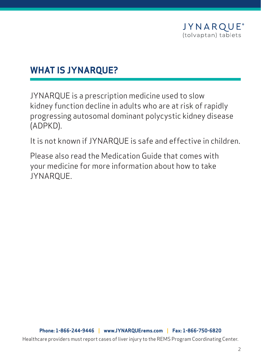

#### **WHAT IS JYNARQUE?**

JYNARQUE is a prescription medicine used to slow kidney function decline in adults who are at risk of rapidly progressing autosomal dominant polycystic kidney disease (ADPKD).

It is not known if JYNARQUE is safe and effective in children.

Please also read the Medication Guide that comes with your medicine for more information about how to take JYNARQUE.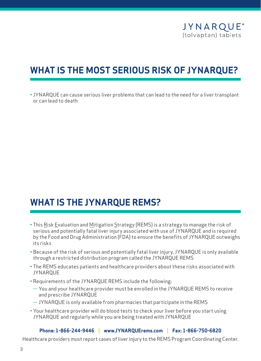

# **WHAT IS THE MOST SERIOUS RISK OF JYNARQUE?**

• JYNARQUE can cause serious liver problems that can lead to the need for a liver transplant or can lead to death

#### **WHAT IS THE JYNARQUE REMS?**

- This Risk Evaluation and Mitigation Strategy (REMS) is a strategy to manage the risk of serious and potentially fatal liver injury associated with use of JYNARQUE and is required by the Food and Drug Administration (FDA) to ensure the benefits of JYNARQUE outweighs its risks
- Because of the risk of serious and potentially fatal liver injury, JYNARQUE is only available through a restricted distribution program called the JYNARQUE REMS
- The REMS educates patients and healthcare providers about these risks associated with **JYNAROUE**
- Requirements of the JYNARQUE REMS include the following:
- You and your healthcare provider must be enrolled in the JYNARQUE REMS to receive and prescribe JYNARQUE
- JYNARQUE is only available from pharmacies that participate in the REMS
- Your healthcare provider will do blood tests to check your liver before you start using JYNARQUE and regularly while you are being treated with JYNARQUE

#### **Phone: 1-866-244-9446 | [www.JYNARQUErems.com](https://www.jynarquerems.com/) | Fax: 1-866-750-6820**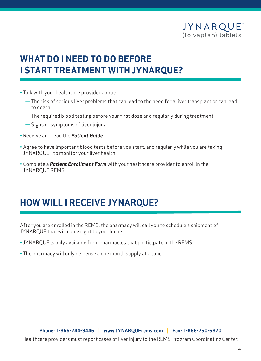

# **WHAT DO I NEED TO DO BEFORE I START TREATMENT WITH JYNARQUE?**

- Talk with your healthcare provider about:
	- The risk of serious liver problems that can lead to the need for a liver transplant or can lead to death
	- The required blood testing before your first dose and regularly during treatment
	- Signs or symptoms of liver injury
- Receive and read the *Patient Guide*
- Agree to have important blood tests before you start, and regularly while you are taking JYNARQUE - to monitor your liver health
- Complete a *Patient Enrollment Form* with your healthcare provider to enroll in the JYNARQUE REMS

# **HOW WILL I RECEIVE JYNARQUE?**

After you are enrolled in the REMS, the pharmacy will call you to schedule a shipment of JYNARQUE that will come right to your home.

- JYNARQUE is only available from pharmacies that participate in the REMS
- The pharmacy will only dispense a one month supply at a time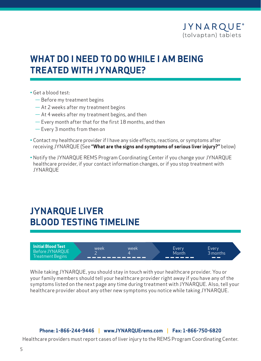

## **WHAT DO I NEED TO DO WHILE I AM BEING TREATED WITH JYNARQUE?**

- Get a blood test:
	- Before my treatment begins
	- At 2 weeks after my treatment begins
	- At 4 weeks after my treatment begins, and then
	- Every month after that for the first 18 months, and then
	- Every 3 months from then on
- Contact my healthcare provider if I have any side effects, reactions, or symptoms after receiving JYNARQUE (See **"What are the signs and symptoms of serious liver injury?"** below)
- Notify the JYNARQUE REMS Program Coordinating Center if you change your JYNARQUE healthcare provider, if your contact information changes, or if you stop treatment with **JYNAROUE**

#### **JYNARQUE LIVER BLOOD TESTING TIMELINE**



While taking JYNARQUE, you should stay in touch with your healthcare provider. You or your family members should tell your healthcare provider right away if you have any of the symptoms listed on the next page any time during treatment with JYNARQUE. Also, tell your healthcare provider about any other new symptoms you notice while taking JYNARQUE.

#### **Phone: 1-866-244-9446 | [www.JYNARQUErems.com](https://www.jynarquerems.com/) | Fax: 1-866-750-6820**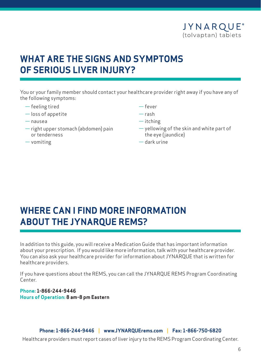

## **WHAT ARE THE SIGNS AND SYMPTOMS OF SERIOUS LIVER INJURY?**

You or your family member should contact your healthcare provider right away if you have any of the following symptoms:

- feeling tired
- loss of appetite
- nausea
- right upper stomach (abdomen) pain or tenderness
- vomiting
- fever
- rash
- itching
- yellowing of the skin and white part of the eye (jaundice)
- dark urine

# **WHERE CAN I FIND MORE INFORMATION ABOUT THE JYNARQUE REMS?**

In addition to this guide, you will receive a Medication Guide that has important information about your prescription. If you would like more information, talk with your healthcare provider. You can also ask your healthcare provider for information about JYNARQUE that is written for healthcare providers.

If you have questions about the REMS, you can call the JYNARQUE REMS Program Coordinating Center.

**Phone: 1-866-244-9446 Hours of Operation: 8 am-8 pm Eastern**

**Phone: 1-866-244-9446 | [www.JYNARQUErems.com](https://www.jynarquerems.com/) | Fax: 1-866-750-6820**